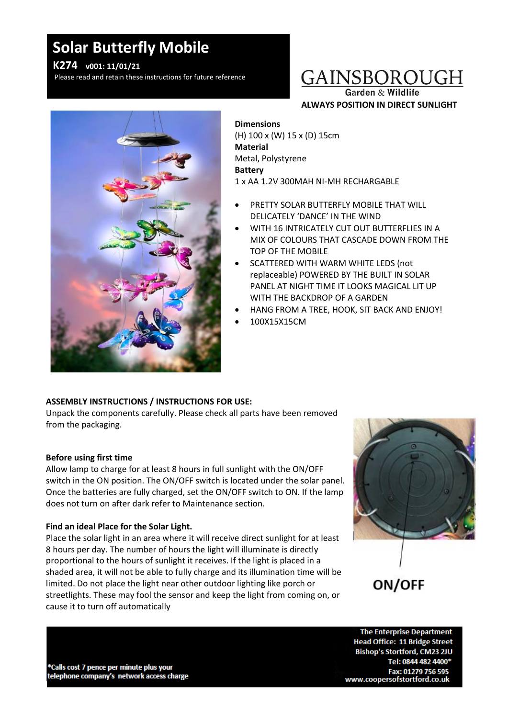# **Solar Butterfly Mobile**

## **K274 v001: 11/01/21**

Please read and retain these instructions for future reference

# GAINSBOROUGH

Garden & Wildlife **ALWAYS POSITION IN DIRECT SUNLIGHT**



## **Dimensions**

(H) 100 x (W) 15 x (D) 15cm **Material** Metal, Polystyrene **Battery** 1 x AA 1.2V 300MAH NI-MH RECHARGABLE

- PRETTY SOLAR BUTTERFLY MOBILE THAT WILL DELICATELY 'DANCE' IN THE WIND
- WITH 16 INTRICATELY CUT OUT BUTTERFLIES IN A MIX OF COLOURS THAT CASCADE DOWN FROM THE TOP OF THE MOBILE
- SCATTERED WITH WARM WHITE LEDS (not replaceable) POWERED BY THE BUILT IN SOLAR PANEL AT NIGHT TIME IT LOOKS MAGICAL LIT UP WITH THE BACKDROP OF A GARDEN
- HANG FROM A TREE, HOOK, SIT BACK AND ENJOY!
- 100X15X15CM

### **ASSEMBLY INSTRUCTIONS / INSTRUCTIONS FOR USE:**

Unpack the components carefully. Please check all parts have been removed from the packaging.

### **Before using first time**

Allow lamp to charge for at least 8 hours in full sunlight with the ON/OFF switch in the ON position. The ON/OFF switch is located under the solar panel. Once the batteries are fully charged, set the ON/OFF switch to ON. If the lamp does not turn on after dark refer to Maintenance section.

### **Find an ideal Place for the Solar Light.**

Place the solar light in an area where it will receive direct sunlight for at least 8 hours per day. The number of hours the light will illuminate is directly proportional to the hours of sunlight it receives. If the light is placed in a shaded area, it will not be able to fully charge and its illumination time will be limited. Do not place the light near other outdoor lighting like porch or streetlights. These may fool the sensor and keep the light from coming on, or cause it to turn off automatically



ON/OFF

\*Calls cost 7 pence per minute plus your telephone company's network access charge

**The Enterprise Department Head Office: 11 Bridge Street** Bishop's Stortford, CM23 2JU Tel: 0844 482 4400\* Fax: 01279 756 595 www.coopersofstortford.co.uk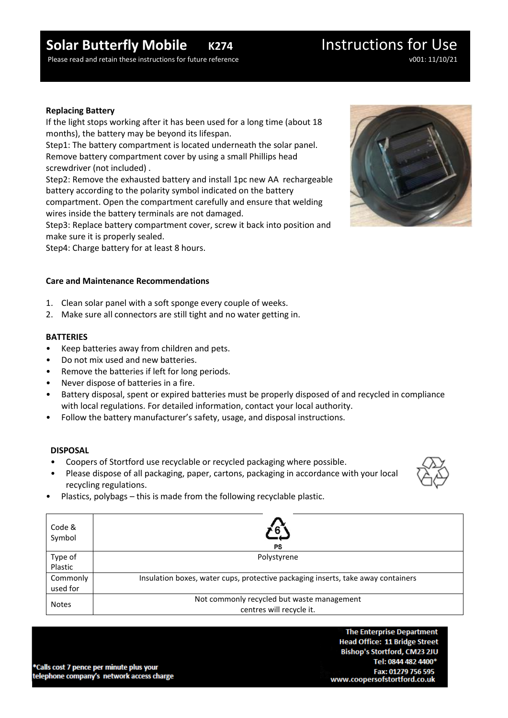# **Solar Butterfly Mobile K274** Instructions for Use

Please read and retain these instructions for future reference v001: 11/10/21

### **Replacing Battery**

If the light stops working after it has been used for a long time (about 18 months), the battery may be beyond its lifespan.

Step1: The battery compartment is located underneath the solar panel. Remove battery compartment cover by using a small Phillips head screwdriver (not included) .

Step2: Remove the exhausted battery and install 1pc new AA rechargeable battery according to the polarity symbol indicated on the battery compartment. Open the compartment carefully and ensure that welding wires inside the battery terminals are not damaged.

Step3: Replace battery compartment cover, screw it back into position and make sure it is properly sealed.

Step4: Charge battery for at least 8 hours.

### **Care and Maintenance Recommendations**

- 1. Clean solar panel with a soft sponge every couple of weeks.
- 2. Make sure all connectors are still tight and no water getting in.

### **BATTERIES**

- Keep batteries away from children and pets.
- Do not mix used and new batteries.
- Remove the batteries if left for long periods.
- Never dispose of batteries in a fire.
- Battery disposal, spent or expired batteries must be properly disposed of and recycled in compliance with local regulations. For detailed information, contact your local authority.
- Follow the battery manufacturer's safety, usage, and disposal instructions.

#### **DISPOSAL**

- Coopers of Stortford use recyclable or recycled packaging where possible.
- Please dispose of all packaging, paper, cartons, packaging in accordance with your local recycling regulations.
- 



• Plastics, polybags – this is made from the following recyclable plastic.

| Code &<br>Symbol     | PS                                                                               |
|----------------------|----------------------------------------------------------------------------------|
| Type of<br>Plastic   | Polystyrene                                                                      |
| Commonly<br>used for | Insulation boxes, water cups, protective packaging inserts, take away containers |
| <b>Notes</b>         | Not commonly recycled but waste management<br>centres will recycle it.           |

\*Calls cost 7 pence per minute plus your telephone company's network access charge

**The Enterprise Department Head Office: 11 Bridge Street** Bishop's Stortford, CM23 2JU Tel: 0844 482 4400\* Fax: 01279 756 595 www.coopersofstortford.co.uk